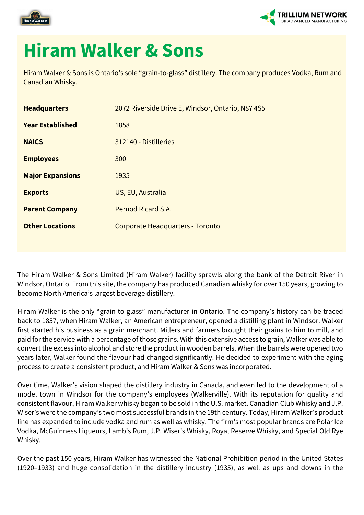



## **Hiram Walker & Sons**

Hiram Walker & Sons is Ontario's sole "grain-to-glass" distillery. The company produces Vodka, Rum and Canadian Whisky.

| 2072 Riverside Drive E, Windsor, Ontario, N8Y 4S5 |
|---------------------------------------------------|
| 1858                                              |
| 312140 - Distilleries                             |
| 300                                               |
| 1935                                              |
| US, EU, Australia                                 |
| Pernod Ricard S.A.                                |
| Corporate Headquarters - Toronto                  |
|                                                   |

The Hiram Walker & Sons Limited (Hiram Walker) facility sprawls along the bank of the Detroit River in Windsor, Ontario. From this site, the company has produced Canadian whisky for over 150 years, growing to become North America's largest beverage distillery.

Hiram Walker is the only "grain to glass" manufacturer in Ontario. The company's history can be traced back to 1857, when Hiram Walker, an American entrepreneur, opened a distilling plant in Windsor. Walker first started his business as a grain merchant. Millers and farmers brought their grains to him to mill, and paid for the service with a percentage of those grains. With this extensive access to grain, Walker was able to convert the excess into alcohol and store the product in wooden barrels. When the barrels were opened two years later, Walker found the flavour had changed significantly. He decided to experiment with the aging process to create a consistent product, and Hiram Walker & Sons was incorporated.

Over time, Walker's vision shaped the distillery industry in Canada, and even led to the development of a model town in Windsor for the company's employees (Walkerville). With its reputation for quality and consistent flavour, Hiram Walker whisky began to be sold in the U.S. market. Canadian Club Whisky and J.P. Wiser's were the company's two most successful brands in the 19th century. Today, Hiram Walker's product line has expanded to include vodka and rum as well as whisky. The firm's most popular brands are Polar Ice Vodka, McGuinness Liqueurs, Lamb's Rum, J.P. Wiser's Whisky, Royal Reserve Whisky, and Special Old Rye Whisky.

Over the past 150 years, Hiram Walker has witnessed the National Prohibition period in the United States (1920–1933) and huge consolidation in the distillery industry (1935), as well as ups and downs in the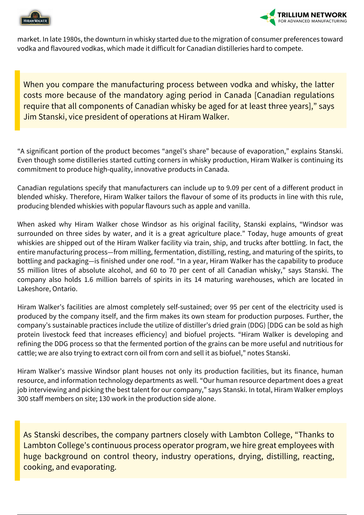



market. In late 1980s, the downturn in whisky started due to the migration of consumer preferences toward vodka and flavoured vodkas, which made it difficult for Canadian distilleries hard to compete.

When you compare the manufacturing process between vodka and whisky, the latter costs more because of the mandatory aging period in Canada [Canadian regulations require that all components of Canadian whisky be aged for at least three years]," says Jim Stanski, vice president of operations at Hiram Walker.

"A significant portion of the product becomes "angel's share" because of evaporation," explains Stanski. Even though some distilleries started cutting corners in whisky production, Hiram Walker is continuing its commitment to produce high-quality, innovative products in Canada.

Canadian regulations specify that manufacturers can include up to 9.09 per cent of a different product in blended whisky. Therefore, Hiram Walker tailors the flavour of some of its products in line with this rule, producing blended whiskies with popular flavours such as apple and vanilla.

When asked why Hiram Walker chose Windsor as his original facility, Stanski explains, "Windsor was surrounded on three sides by water, and it is a great agriculture place." Today, huge amounts of great whiskies are shipped out of the Hiram Walker facility via train, ship, and trucks after bottling. In fact, the entire manufacturing process—from milling, fermentation, distilling, resting, and maturing of the spirits, to bottling and packaging—is finished under one roof. "In a year, Hiram Walker has the capability to produce 55 million litres of absolute alcohol, and 60 to 70 per cent of all Canadian whisky," says Stanski. The company also holds 1.6 million barrels of spirits in its 14 maturing warehouses, which are located in Lakeshore, Ontario.

Hiram Walker's facilities are almost completely self-sustained; over 95 per cent of the electricity used is produced by the company itself, and the firm makes its own steam for production purposes. Further, the company's sustainable practices include the utilize of distiller's dried grain (DDG) [DDG can be sold as high protein livestock feed that increases efficiency] and biofuel projects. "Hiram Walker is developing and refining the DDG process so that the fermented portion of the grains can be more useful and nutritious for cattle; we are also trying to extract corn oil from corn and sell it as biofuel," notes Stanski.

Hiram Walker's massive Windsor plant houses not only its production facilities, but its finance, human resource, and information technology departments as well. "Our human resource department does a great job interviewing and picking the best talent for our company," says Stanski. In total, Hiram Walker employs 300 staff members on site; 130 work in the production side alone.

As Stanski describes, the company partners closely with Lambton College, "Thanks to Lambton College's continuous process operator program, we hire great employees with huge background on control theory, industry operations, drying, distilling, reacting, cooking, and evaporating.